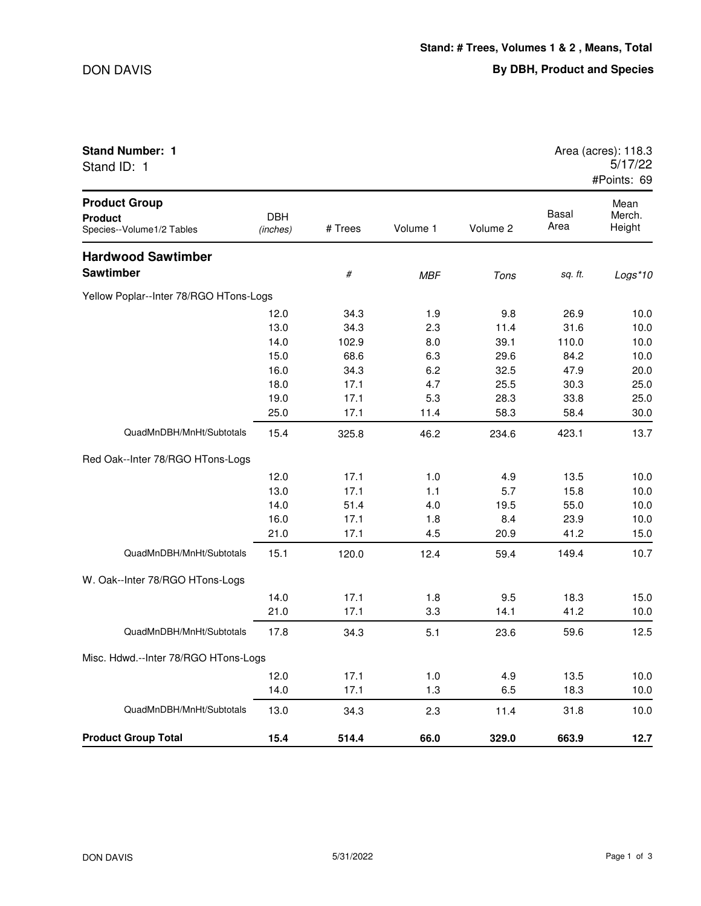| Stand ID: 1                                                         |                        |         |            |          |               | 37 I I 12<br>#Points: 69 |
|---------------------------------------------------------------------|------------------------|---------|------------|----------|---------------|--------------------------|
| <b>Product Group</b><br><b>Product</b><br>Species--Volume1/2 Tables | <b>DBH</b><br>(inches) | # Trees | Volume 1   | Volume 2 | Basal<br>Area | Mean<br>Merch.<br>Height |
| <b>Hardwood Sawtimber</b>                                           |                        |         |            |          |               |                          |
| <b>Sawtimber</b>                                                    |                        | $\#$    | <b>MBF</b> | Tons     | sq. ft.       | Logs*10                  |
| Yellow Poplar--Inter 78/RGO HTons-Logs                              |                        |         |            |          |               |                          |
|                                                                     | 12.0                   | 34.3    | 1.9        | 9.8      | 26.9          | 10.0                     |
|                                                                     | 13.0                   | 34.3    | 2.3        | 11.4     | 31.6          | 10.0                     |
|                                                                     | 14.0                   | 102.9   | 8.0        | 39.1     | 110.0         | 10.0                     |
|                                                                     | 15.0                   | 68.6    | 6.3        | 29.6     | 84.2          | 10.0                     |
|                                                                     | 16.0                   | 34.3    | 6.2        | 32.5     | 47.9          | 20.0                     |
|                                                                     | 18.0                   | 17.1    | 4.7        | 25.5     | 30.3          | 25.0                     |
|                                                                     | 19.0                   | 17.1    | 5.3        | 28.3     | 33.8          | 25.0                     |
|                                                                     | 25.0                   | 17.1    | 11.4       | 58.3     | 58.4          | 30.0                     |
| QuadMnDBH/MnHt/Subtotals                                            | 15.4                   | 325.8   | 46.2       | 234.6    | 423.1         | 13.7                     |
| Red Oak--Inter 78/RGO HTons-Logs                                    |                        |         |            |          |               |                          |
|                                                                     | 12.0                   | 17.1    | 1.0        | 4.9      | 13.5          | 10.0                     |
|                                                                     | 13.0                   | 17.1    | 1.1        | 5.7      | 15.8          | 10.0                     |
|                                                                     | 14.0                   | 51.4    | 4.0        | 19.5     | 55.0          | 10.0                     |
|                                                                     | 16.0                   | 17.1    | 1.8        | 8.4      | 23.9          | 10.0                     |
|                                                                     | 21.0                   | 17.1    | 4.5        | 20.9     | 41.2          | 15.0                     |
| QuadMnDBH/MnHt/Subtotals                                            | 15.1                   | 120.0   | 12.4       | 59.4     | 149.4         | 10.7                     |
| W. Oak--Inter 78/RGO HTons-Logs                                     |                        |         |            |          |               |                          |
|                                                                     | 14.0                   | 17.1    | 1.8        | 9.5      | 18.3          | 15.0                     |
|                                                                     | 21.0                   | 17.1    | 3.3        | 14.1     | 41.2          | 10.0                     |
| QuadMnDBH/MnHt/Subtotals                                            | 17.8                   | 34.3    | 5.1        | 23.6     | 59.6          | 12.5                     |
| Misc. Hdwd.--Inter 78/RGO HTons-Logs                                |                        |         |            |          |               |                          |
|                                                                     | 12.0                   | 17.1    | 1.0        | 4.9      | 13.5          | 10.0                     |

 $C$ tand  $ID: 1$ 

DON DAVIS 5/31/2022 Page 1 of 3

QuadMnDBH/MnHt/Subtotals 13.0 34.3 2.3 11.4 31.8 10.0

**Product Group Total 15.4 514.4 66.0 329.0 663.9 12.7**

14.0 17.1 1.3 6.5 18.3 10.0

**Stand Number: 1** Area (acres): 118.3 5/17/22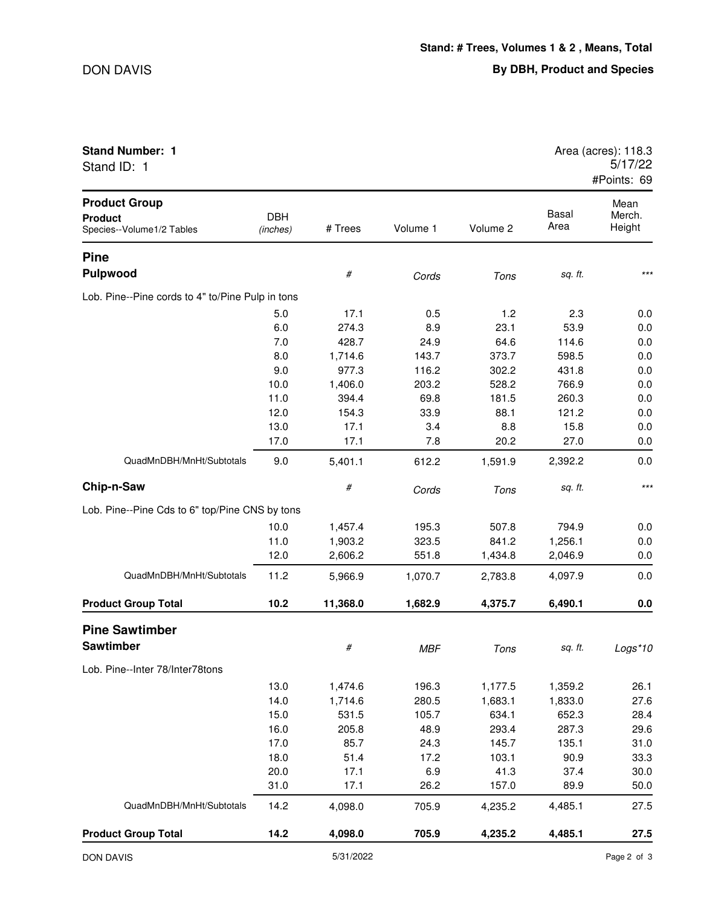| <b>Stand Number: 1</b><br>Stand ID: 1                               |                        |          |            |          |                      | Area (acres): 118.3<br>5/17/22<br>#Points: 69 |
|---------------------------------------------------------------------|------------------------|----------|------------|----------|----------------------|-----------------------------------------------|
| <b>Product Group</b><br><b>Product</b><br>Species--Volume1/2 Tables | <b>DBH</b><br>(inches) | # Trees  | Volume 1   | Volume 2 | <b>Basal</b><br>Area | Mean<br>Merch.<br>Height                      |
| <b>Pine</b>                                                         |                        |          |            |          |                      |                                               |
| <b>Pulpwood</b>                                                     |                        | $\#$     | Cords      | Tons     | sq. ft.              | $***$                                         |
| Lob. Pine--Pine cords to 4" to/Pine Pulp in tons                    |                        |          |            |          |                      |                                               |
|                                                                     | 5.0                    | 17.1     | 0.5        | 1.2      | 2.3                  | 0.0                                           |
|                                                                     | 6.0                    | 274.3    | 8.9        | 23.1     | 53.9                 | 0.0                                           |
|                                                                     | 7.0                    | 428.7    | 24.9       | 64.6     | 114.6                | 0.0                                           |
|                                                                     | 8.0                    | 1,714.6  | 143.7      | 373.7    | 598.5                | 0.0                                           |
|                                                                     | 9.0                    | 977.3    | 116.2      | 302.2    | 431.8                | 0.0                                           |
|                                                                     | 10.0                   | 1,406.0  | 203.2      | 528.2    | 766.9                | 0.0                                           |
|                                                                     | 11.0                   | 394.4    | 69.8       | 181.5    | 260.3                | 0.0                                           |
|                                                                     | 12.0                   | 154.3    | 33.9       | 88.1     | 121.2                | 0.0                                           |
|                                                                     | 13.0                   | 17.1     | 3.4        | 8.8      | 15.8                 | 0.0                                           |
|                                                                     | 17.0                   | 17.1     | 7.8        | 20.2     | 27.0                 | 0.0                                           |
| QuadMnDBH/MnHt/Subtotals                                            | 9.0                    | 5,401.1  | 612.2      | 1,591.9  | 2,392.2              | 0.0                                           |
| Chip-n-Saw                                                          |                        | #        | Cords      | Tons     | sq. ft.              | $***$                                         |
| Lob. Pine--Pine Cds to 6" top/Pine CNS by tons                      |                        |          |            |          |                      |                                               |
|                                                                     | 10.0                   | 1,457.4  | 195.3      | 507.8    | 794.9                | 0.0                                           |
|                                                                     | 11.0                   | 1,903.2  | 323.5      | 841.2    | 1,256.1              | 0.0                                           |
|                                                                     | 12.0                   | 2,606.2  | 551.8      | 1,434.8  | 2,046.9              | 0.0                                           |
| QuadMnDBH/MnHt/Subtotals                                            | 11.2                   | 5,966.9  | 1,070.7    | 2,783.8  | 4,097.9              | 0.0                                           |
| <b>Product Group Total</b>                                          | 10.2                   | 11,368.0 | 1,682.9    | 4,375.7  | 6,490.1              | 0.0                                           |
| <b>Pine Sawtimber</b>                                               |                        |          |            |          |                      |                                               |
| <b>Sawtimber</b>                                                    |                        | #        | <b>MBF</b> | Tons     | sq. ft.              | $Logs*10$                                     |
| Lob. Pine--Inter 78/Inter78tons                                     |                        |          |            |          |                      |                                               |
|                                                                     | 13.0                   | 1,474.6  | 196.3      | 1,177.5  | 1,359.2              | 26.1                                          |
|                                                                     | 14.0                   | 1,714.6  | 280.5      | 1,683.1  | 1,833.0              | 27.6                                          |
|                                                                     | 15.0                   | 531.5    | 105.7      | 634.1    | 652.3                | 28.4                                          |
|                                                                     | 16.0                   | 205.8    | 48.9       | 293.4    | 287.3                | 29.6                                          |
|                                                                     | 17.0                   | 85.7     | 24.3       | 145.7    | 135.1                | 31.0                                          |
|                                                                     | 18.0                   | 51.4     | 17.2       | 103.1    | 90.9                 | 33.3                                          |
|                                                                     | 20.0                   | 17.1     | 6.9        | 41.3     | 37.4                 | 30.0                                          |
|                                                                     | 31.0                   | 17.1     | 26.2       | 157.0    | 89.9                 | 50.0                                          |
| QuadMnDBH/MnHt/Subtotals                                            | 14.2                   | 4,098.0  | 705.9      | 4,235.2  | 4,485.1              | 27.5                                          |
| <b>Product Group Total</b>                                          | 14.2                   | 4,098.0  | 705.9      | 4,235.2  | 4,485.1              | 27.5                                          |